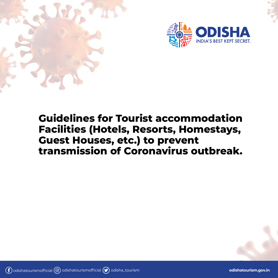



## **Guidelines for Tourist accommodation Facilities (Hotels, Resorts, Homestays, Guest Houses, etc.) to prevent transmission of Coronavirus outbreak.**

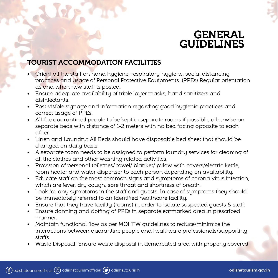## **GENERAL GUIDELINES**

## **TOURIST ACCOMMODATION FACILITIES**

- Orient all the staff on hand hygiene, respiratory hygiene, social distancing practices and usage of Personal Protective Equipments. (PPEs) Regular orientation as and when new staff is posted.
- Ensure adequate availability of triple layer masks, hand sanitizers and disinfectants.
- Post visible signage and information regarding good hygienic practices and correct usage of PPEs.
- All the quarantined people to be kept in separate rooms if possible, otherwise on separate beds with distance of 1-2 meters with no bed facing opposite to each other.
- Linen and Laundry: All Beds should have disposable bed sheet that should be changed on daily basis.
- A separate room needs to be assigned to perform laundry services for cleaning of all the clothes and other washing related activities.
- Provision of personal toiletries/ towel/ blanket/ pillow with covers/electric kettle, room heater and water dispenser to each person depending on availability.
- Educate staff on the most common signs and symptoms of corona virus infection, which are fever, dry cough, sore throat and shortness of breath.
- Look for any symptoms in the staff and guests. In case of symptoms they should be immediately referred to an identified healthcare facility.
- Ensure that they have facility (rooms) in order to isolate suspected guests & staff.
- Ensure donning and doffing of PPEs in separate earmarked area in prescribed manner.
- Maintain functional flow as per MOHFW guidelines to reduce/minimize the interactions between quarantine people and healthcare professionals/supporting staffs.
- Waste Disposal: Ensure waste disposal in demarcated area with properly covered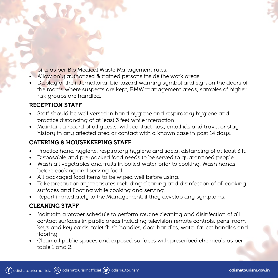bins as per Bio Medical Waste Management rules.

- Allow only authorized & trained persons inside the work areas.
- Display of the international biohazard warning symbol and sign on the doors of the rooms where suspects are kept, BMW management areas, samples of higher risk groups are handled.

#### **RECEPTION STAFF**

- Staff should be well versed in hand hygiene and respiratory hygiene and practice distancing of at least 3 feet while interaction.
- Maintain a record of all guests, with contact nos., email ids and travel or stay history in any affected area or contact with a known case in past 14 days.

### **CATERING & HOUSEKEEPING STAFF**

- Practice hand hygiene, respiratory hygiene and social distancing of at least 3 ft.
- Disposable and pre-packed food needs to be served to quarantined people.
- Wash all vegetables and fruits in boiled water prior to cooking. Wash hands before cooking and serving food.
- All packaged food items to be wiped well before using.
- Take precautionary measures including cleaning and disinfection of all cooking surfaces and flooring while cooking and serving.
- Report immediately to the Management, if they develop any symptoms.

### **CLEANING STAFF**

- Maintain a proper schedule to perform routine cleaning and disinfection of all contact surfaces in public areas including television remote controls, pens, room keys and key cards, toilet flush handles, door handles, water faucet handles and flooring.
- Clean all public spaces and exposed surfaces with prescribed chemicals as per table 1 and 2.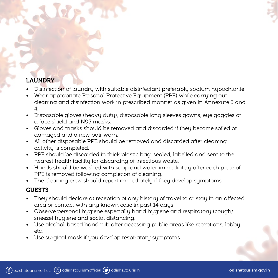## **LAUNDRY**

- Disinfection of laundry with suitable disinfectant preferably sodium hypochlorite.
- Wear appropriate Personal Protective Equipment (PPE) while carrying out cleaning and disinfection work in prescribed manner as given in Annexure 3 and 4.
- Disposable gloves (heavy duty), disposable long sleeves gowns, eye goggles or a face shield and N95 masks.
- Gloves and masks should be removed and discarded if they become soiled or damaged and a new pair worn.
- All other disposable PPE should be removed and discarded after cleaning activity is completed.
- PPE should be discarded in thick plastic bag, sealed, labelled and sent to the nearest health facility for discarding of infectious waste.
- Hands should be washed with soap and water immediately after each piece of PPE is removed following completion of cleaning.
- The cleaning crew should report immediately if they develop symptoms.

#### **GUESTS**

- They should declare at reception of any history of travel to or stay in an affected area or contact with any known case in past 14 days.
- Observe personal hygiene especially hand hygiene and respiratory (cough/ sneeze) hygiene and social distancing.
- Use alcohol-based hand rub after accessing public areas like receptions, lobby etc.
- Use surgical mask if you develop respiratory symptoms.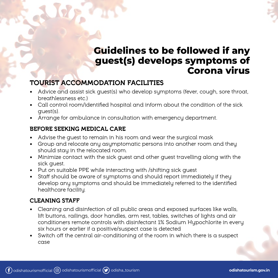## **Guidelines to be followed if any guest(s) develops symptoms of Corona virus**

## **TOURIST ACCOMMODATION FACILITIES**

- Advice and assist sick guest(s) who develop symptoms (fever, cough, sore throat, breathlessness etc.)
- Call control room/identified hospital and inform about the condition of the sick guest(s).
- Arrange for ambulance in consultation with emergency department.

#### **BEFORE SEEKING MEDICAL CARE**

- Advise the guest to remain in his room and wear the surgical mask
- Group and relocate any asymptomatic persons into another room and they should stay in the relocated room.
- Minimize contact with the sick guest and other guest travelling along with the sick guest.
- Put on suitable PPE while interacting with /shifting sick guest
- Staff should be aware of symptoms and should report immediately if they develop any symptoms and should be immediately referred to the identified healthcare facility.

#### **CLEANING STAFF**

- Cleaning and disinfection of all public areas and exposed surfaces like walls, lift buttons, railings, door handles, arm rest, tables, switches of lights and air conditioners remote controls with disinfectant 1% Sodium Hypochlorite in every six hours or earlier if a positive/suspect case is detected
- Switch off the central air-conditioning of the room in which there is a suspect case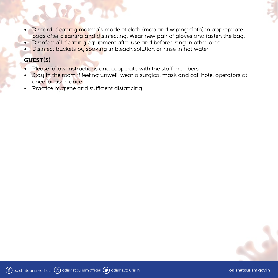

- Discard-cleaning materials made of cloth (mop and wiping cloth) in appropriate bags after cleaning and disinfecting. Wear new pair of gloves and fasten the bag.
- Disinfect all cleaning equipment after use and before using in other area
- Disinfect buckets by soaking in bleach solution or rinse in hot water

#### **GUEST(S)**

- Please follow instructions and cooperate with the staff members.
- Stay in the room if feeling unwell, wear a surgical mask and call hotel operators at once for assistance
- Practice hygiene and sufficient distancing.

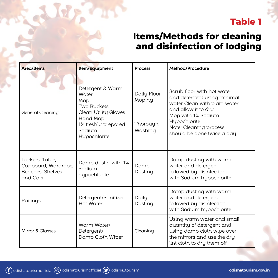## **Table 1**

## **Items/Methods for cleaning and disinfection of lodging**

| <b>Area/Items</b>                                                      | Item/Equipment                                                                                                                       | <b>Process</b>                               | Method/Procedure                                                                                                                                                                                               |
|------------------------------------------------------------------------|--------------------------------------------------------------------------------------------------------------------------------------|----------------------------------------------|----------------------------------------------------------------------------------------------------------------------------------------------------------------------------------------------------------------|
| General Cleaning                                                       | Detergent & Warm<br>Water<br>Mop<br>Two Buckets<br>Clean Utility Gloves<br>Hand Mop<br>1% freshly prepared<br>Sodium<br>Hypochlorite | Daily Floor<br>Moping<br>Thorough<br>Washing | Scrub floor with hot water<br>and detergent using minimal<br>water Clean with plain water<br>and allow it to dry<br>Mop with 1% Sodium<br>Hypochlorite<br>Note: Cleaning process<br>should be done twice a day |
| Lockers, Table,<br>Cupboard, Wardrobe,<br>Benches, Shelves<br>and Cots | Damp duster with 1%<br>Sodium<br>hypochlorite                                                                                        | Damp<br>Dusting                              | Damp dusting with warm<br>water and detergent<br>followed by disinfection<br>with Sodium hypochlorite                                                                                                          |
| Railings                                                               | Detergent/Sanitizer-<br>Hot Water                                                                                                    | Daily<br>Dusting                             | Damp dusting with warm<br>water and detergent<br>followed by disinfection<br>with Sodium hypochlorite                                                                                                          |
| Mirror & Glasses                                                       | Warm Water/<br>Detergent/<br>Damp Cloth Wiper                                                                                        | Cleaning                                     | Using warm water and small<br>quantity of detergent and<br>using damp cloth wipe over<br>the mirrors and use the dry<br>lint cloth to dry them off                                                             |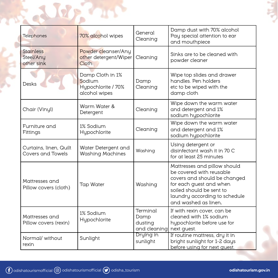| Telephones                                  | 70% alcohol wipes                                                 | General<br>Cleaning                         | Damp dust with 70% alcohol<br>Pay special attention to ear<br>and mouthpiece                                                                                                                             |
|---------------------------------------------|-------------------------------------------------------------------|---------------------------------------------|----------------------------------------------------------------------------------------------------------------------------------------------------------------------------------------------------------|
| <b>Stainless</b><br>Steel/Any<br>other sink | Powder cleanser/Any<br>other detergent/Wiper<br><b>Cloth</b>      | Cleaning                                    | Sinks are to be cleaned with<br>powder cleaner                                                                                                                                                           |
| <b>Desks</b>                                | Damp Cloth in 1%<br>Sodium<br>Hypochlorite / 70%<br>alcohol wipes | Damp<br>Cleaning                            | Wipe top slides and drawer<br>handles. Pen holders<br>etc to be wiped with the<br>damp cloth                                                                                                             |
| Chair (Vinyl)                               | Warm Water &<br>Detergent                                         | Cleaning                                    | Wipe down the warm water<br>and detergent and 1%<br>sodium hypochlorite                                                                                                                                  |
| Furniture and<br>Fittings                   | 1% Sodium<br>Hypochlorite                                         | Cleaning                                    | Wipe down the warm water<br>and detergent and 1%<br>sodium hypochlorite                                                                                                                                  |
| Curtains, linen, Quilt<br>Covers and Towels | Water Detergent and<br><b>Washing Machines</b>                    | Washing                                     | Using detergent or<br>disinfectant wash it in 70 C<br>for at least 25 minutes                                                                                                                            |
| Mattresses and<br>Pillow covers (cloth)     | <b>Tap Water</b>                                                  | Washing                                     | Mattresses and pillow should<br>be covered with reusable<br>covers and should be changed<br>for each guest and when<br>soiled should be sent to<br>laundry according to schedule<br>and washed as linen. |
| Mattresses and<br>Pillow covers (rexin)     | 1% Sodium<br>Hypochlorite                                         | Terminal<br>Damp<br>dusting<br>and cleaning | If with rexin cover, can be<br>cleaned with 1% sodium<br>hypochlorite before use for<br>next guest.                                                                                                      |
| Normal/ without<br>rexin                    | Sunlight                                                          | Drying in<br>sunlight                       | If routine mattress, dry it in<br>bright sunlight for 1-2 days<br>before using for next quest.                                                                                                           |

F. J. R. Port

Ę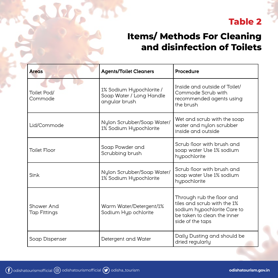## **Table 2**

## **Items/ Methods For Cleaning and disinfection of Toilets**

| <b>Areas</b>                                                                         | <b>Agents/Toilet Cleaners</b>                                         | Procedure                                                                                                                                  |
|--------------------------------------------------------------------------------------|-----------------------------------------------------------------------|--------------------------------------------------------------------------------------------------------------------------------------------|
| Toilet Pod/<br>Commode                                                               | 1% Sodium Hypochlorite /<br>Soap Water / Long Handle<br>angular brush | Inside and outside of Toilet/<br>Commode Scrub with<br>recommended agents using<br>the brush                                               |
| Lid/Commode                                                                          | Nylon Scrubber/Soap Water/<br>1% Sodium Hypochlorite                  | Wet and scrub with the soap<br>water and nylon scrubber<br>inside and outside                                                              |
| <b>Toilet Floor</b>                                                                  | Soap Powder and<br>Scrubbing brush                                    | Scrub floor with brush and<br>soap water Use 1% sodium<br>hypochlorite                                                                     |
| Sink                                                                                 | Nylon Scrubber/Soap Water/<br>1% Sodium Hypochlorite                  | Scrub floor with brush and<br>soap water Use 1% sodium<br>hypochlorite                                                                     |
| Shower And<br>Warm Water/Detergent/1%<br>Sodium Hyp ochlorite<br><b>Tap Fittings</b> |                                                                       | Through rub the floor and<br>tiles and scrub with the 1%<br>sodium hypochlorite Care to<br>be taken to clean the inner<br>side of the taps |
| Soap Dispenser                                                                       | Detergent and Water                                                   | Daily Dusting and should be<br>dried regularly                                                                                             |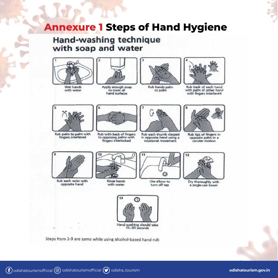## **Annexure 1 Steps of Hand Hygiene**

## Hand-washing technique with soap and water







Apply enough soap to cover all hand surfaces



Rub hands palm to palm



Rub back of each hand with palm of other hand with fingers interlaced



Rub palm to palm with fingers interlaced



Rub with back of fingers to opposing palms with fingers interlocked



Rub each thumb clasped in opposite hand using a rotational movement



Rub tips of fingers in opposite palm in a circular motion



Rub each wrist with opposite hand



**Rinse hands** with water



Use elbow to turn off tap



Dry thoroughly with a single-use towel



Steps from 2-9 are same while using alcohol-based hand rub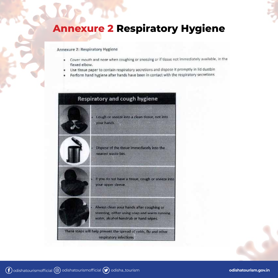# **Annexure 2 Respiratory Hygiene**

#### Annexure 2: Respiratory Hygiene

- Cover mouth and nose when coughing or sneezing or if tissue not immediately available, in the ٠ flexed elbow.
- Use tissue paper to contain respiratory secretions and dispose it promptly in lid dustbin
- Perform hand hygiene after hands have been in contact with the respiratory secretions

| <b>Respiratory and cough hygiene</b> |                                                                                                                                    |  |
|--------------------------------------|------------------------------------------------------------------------------------------------------------------------------------|--|
|                                      | Cough or sneeze into a clean tissue, not into<br>your hands.                                                                       |  |
|                                      | Dispose of the tissue immediately into the<br>nearest waste bin.                                                                   |  |
|                                      | If you do not have a tissue, cough or sneeze into<br>your upper sleeve.                                                            |  |
|                                      | Always clean your hands after coughing or<br>sneezing, either using soap and warm running<br>water, alcohol handrub or hand wipes. |  |
|                                      | These steps will help prevent the spread of colds, flu and other<br>respiratory infections                                         |  |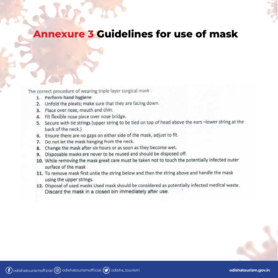

## **Annexure 3 Guidelines for use of mask**

The correct procedure of wearing triple layer surgical mask:

- 1. Perform hand hygiene
- 2. Unfold the pleats; make sure that they are facing down.
- 3. Place over nose, mouth and chin.
- 4. Fit flexible nose piece over nose bridge.
- 5. Secure with tie strings (upper string to be tied on top of head above the ears -lower string at the back of the neck.)
- 6. Ensure there are no gaps on either side of the mask, adjust to fit.
- 7. Do not let the mask hanging from the neck.
- 8. Change the mask after six hours or as soon as they become wet.
- Disposable masks are never to be reused and should be disposed off. 9.
- 10. While removing the mask great care must be taken not to touch the potentially infected outer surface of the mask
- 11. To remove mask first untie the string below and then the string above and handle the mask using the upper strings.
- 12. Disposal of used masks Used mask should be considered as potentially infected medical waste. Discard the mask in a closed bin immediately after use.

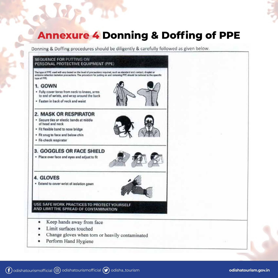# **Annexure 4 Donning & Doffing of PPE**

Donning & Doffing procedures should be diligently & carefully followed as given below.

#### **SEQUENCE FOR PUTTING ON** PERSONAL PROTECTIVE EQUIPMENT (PPE) The type of PPE used will vary based on the level of precautions required, such as standard and contact, droplet or sirhorns enfection isolation precautions. The procedure for putting on and removing PPE should be tailored to the specific type of PPE. 1. GOWN . Fully cover torso from neck to knees, arms to end of wrists, and wrap around the back · Fasten in back of neck and waist **2. MASK OR RESPIRATOR** · Secure ties or elastic bands at middle of head and neck · Fit flexible band to nose bridge . Fit snug to face and below chin · Fit-check respirator 3. GOGGLES OR FACE SHIELD · Place over face and eyes and adjust to fit **4. GLOVES** · Extend to cover wrist of isolation gown USE SAFE WORK PRACTICES TO PROTECT YOURSELF AND LIMIT THE SPREAD OF CONTAMINATION Keep hands away from face Limit surfaces touched

- 
- Change gloves when torn or heavily contaminated
- Perform Hand Hygiene